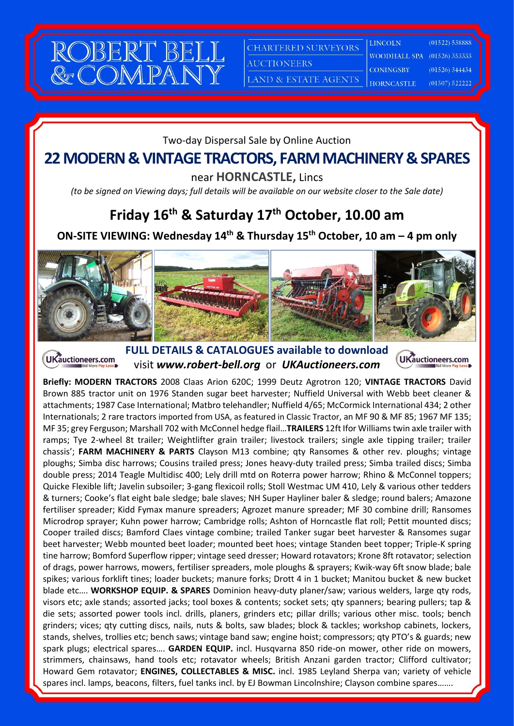

**CHARTERED SURVEYORS** 

WOODHALL SPA

**LINCOLN** 

**AUCTIONEERS** 

**CONINGSBY** LAND & ESTATE AGENTS

**HORNCASTLE** 

 $(01526) 353333$  $(01526)$  344434

 $(01522) 538888$ 

 $(01507)$  522222

#### Two-day Dispersal Sale by Online Auction

## **22 MODERN & VINTAGE TRACTORS, FARM MACHINERY & SPARES**

near **HORNCASTLE,** Lincs

*(to be signed on Viewing days; full details will be available on our website closer to the Sale date)*

## **Friday 16th & Saturday 17th October, 10.00 am**

#### **ON-SITE VIEWING: Wednesday 14th & Thursday 15th October, 10 am – 4 pm only**



**FULL DETAILS & CATALOGUES available to download** UKauctioneers.com visit *www.robert-bell.org* or *UKAuctioneers.com*



**Briefly: MODERN TRACTORS** 2008 Claas Arion 620C; 1999 Deutz Agrotron 120; **VINTAGE TRACTORS** David Brown 885 tractor unit on 1976 Standen sugar beet harvester; Nuffield Universal with Webb beet cleaner & attachments; 1987 Case International; Matbro telehandler; Nuffield 4/65; McCormick International 434; 2 other Internationals; 2 rare tractors imported from USA, as featured in Classic Tractor, an MF 90 & MF 85; 1967 MF 135; MF 35; grey Ferguson; Marshall 702 with McConnel hedge flail…**TRAILERS** 12ft Ifor Williams twin axle trailer with ramps; Tye 2-wheel 8t trailer; Weightlifter grain trailer; livestock trailers; single axle tipping trailer; trailer chassis'; **FARM MACHINERY & PARTS** Clayson M13 combine; qty Ransomes & other rev. ploughs; vintage ploughs; Simba disc harrows; Cousins trailed press; Jones heavy-duty trailed press; Simba trailed discs; Simba double press; 2014 Teagle Multidisc 400; Lely drill mtd on Roterra power harrow; Rhino & McConnel toppers; Quicke Flexible lift; Javelin subsoiler; 3-gang flexicoil rolls; Stoll Westmac UM 410, Lely & various other tedders & turners; Cooke's flat eight bale sledge; bale slaves; NH Super Hayliner baler & sledge; round balers; Amazone fertiliser spreader; Kidd Fymax manure spreaders; Agrozet manure spreader; MF 30 combine drill; Ransomes Microdrop sprayer; Kuhn power harrow; Cambridge rolls; Ashton of Horncastle flat roll; Pettit mounted discs; Cooper trailed discs; Bamford Claes vintage combine; trailed Tanker sugar beet harvester & Ransomes sugar beet harvester; Webb mounted beet loader; mounted beet hoes; vintage Standen beet topper; Triple-K spring tine harrow; Bomford Superflow ripper; vintage seed dresser; Howard rotavators; Krone 8ft rotavator; selection of drags, power harrows, mowers, fertiliser spreaders, mole ploughs & sprayers; Kwik-way 6ft snow blade; bale spikes; various forklift tines; loader buckets; manure forks; Drott 4 in 1 bucket; Manitou bucket & new bucket blade etc…. **WORKSHOP EQUIP. & SPARES** Dominion heavy-duty planer/saw; various welders, large qty rods, visors etc; axle stands; assorted jacks; tool boxes & contents; socket sets; qty spanners; bearing pullers; tap & die sets; assorted power tools incl. drills, planers, grinders etc; pillar drills; various other misc. tools; bench grinders; vices; qty cutting discs, nails, nuts & bolts, saw blades; block & tackles; workshop cabinets, lockers, stands, shelves, trollies etc; bench saws; vintage band saw; engine hoist; compressors; qty PTO's & guards; new spark plugs; electrical spares…. **GARDEN EQUIP.** incl. Husqvarna 850 ride-on mower, other ride on mowers, strimmers, chainsaws, hand tools etc; rotavator wheels; British Anzani garden tractor; Clifford cultivator; Howard Gem rotavator; **ENGINES, COLLECTABLES & MISC.** incl. 1985 Leyland Sherpa van; variety of vehicle spares incl. lamps, beacons, filters, fuel tanks incl. by EJ Bowman Lincolnshire; Clayson combine spares…….